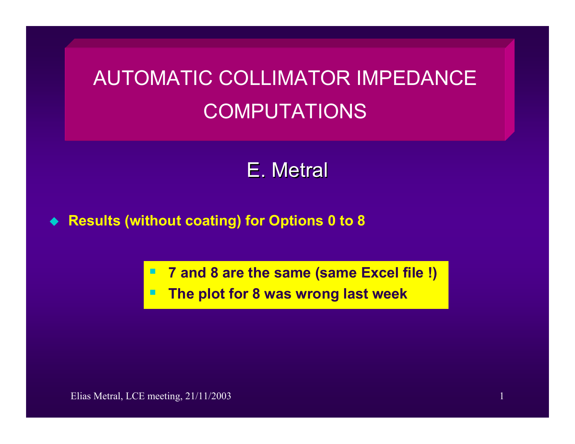## AUTOMATIC COLLIMATOR IMPEDANCE COMPUTATIONS

## E. Metral

 $\bullet$ **Results (without coating) for Options 0 to 8** 

**7 and 8 are the same (same Excel file !)**

**The plot for 8 was wrong last week**

Elias Metral, LCE meeting, 21/11/2003 1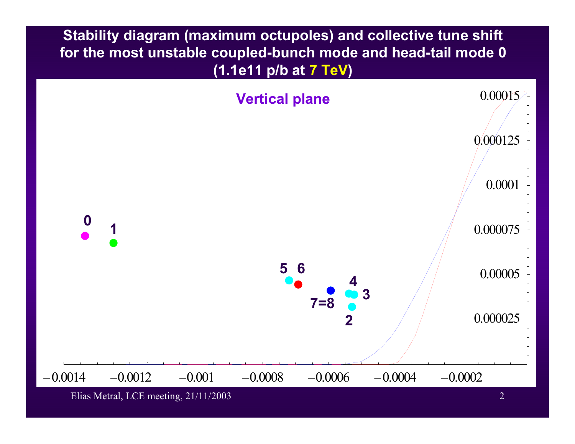**Stability diagram (maximum octupoles) and collective tune shift for the most unstable coupled-bunch mode and head-tail mode 0 (1.1e11 p/b at 7 TeV)** 



Elias Metral, LCE meeting, 21/11/2003 2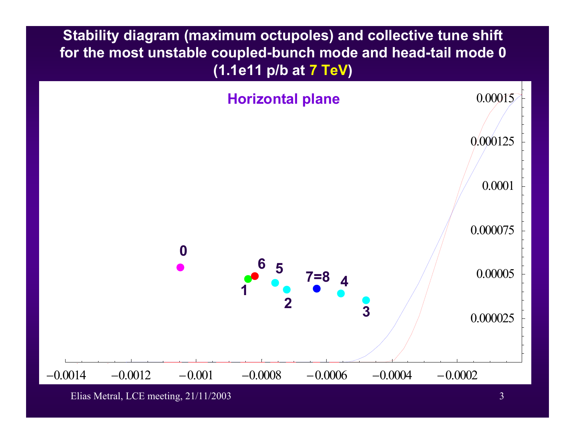**Stability diagram (maximum octupoles) and collective tune shift for the most unstable coupled-bunch mode and head-tail mode 0 (1.1e11 p/b at 7 TeV)** 



Elias Metral, LCE meeting, 21/11/2003 3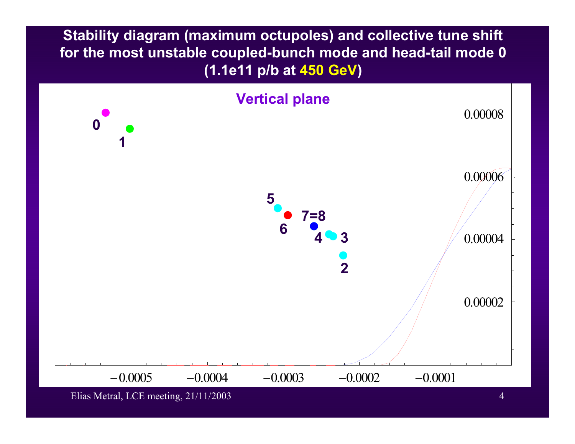**Stability diagram (maximum octupoles) and collective tune shift for the most unstable coupled-bunch mode and head-tail mode 0 (1.1e11 p/b at 450 GeV)** 



Elias Metral, LCE meeting, 21/11/2003 4